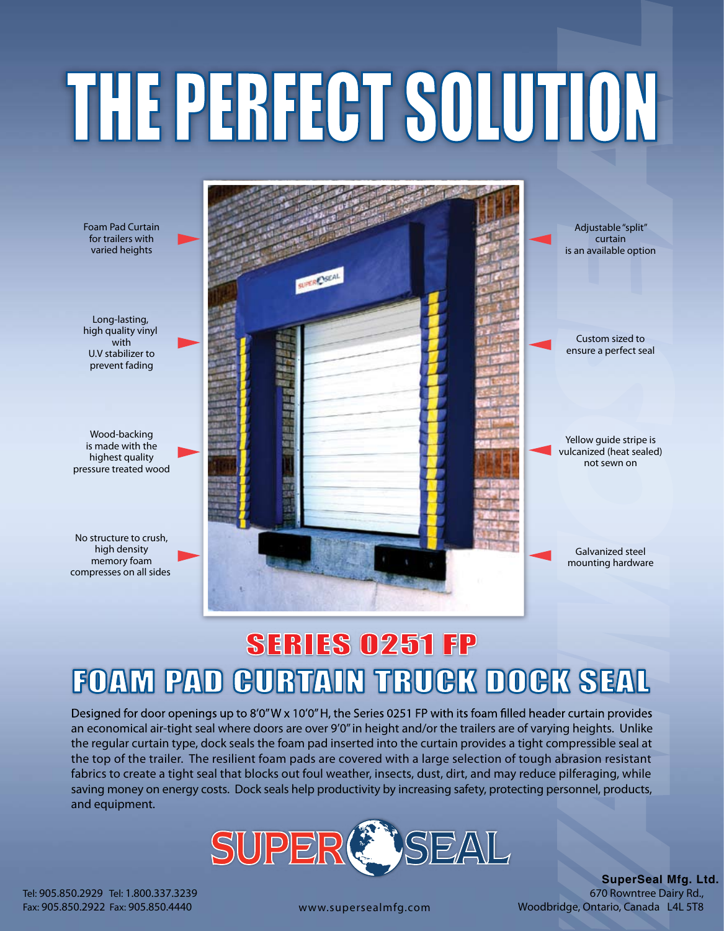## THE PERFECT SOLUTION

Foam Pad Curtain Adjustable "split" for trailers with curtain varied heights is an available option URER SEAL Long-lasting, high quality vinyl Custom sized to with ensure a perfect seal U.V stabilizer to prevent fading Wood-backing is made with the highest quality pressure treated wood No structure to crush, high density memory foam compresses on all sides

Yellow guide stripe is vulcanized (heat sealed) not sewn on

> Galvanized steel mounting hardware

## SERIES 0251 FP FOAM PAD CURTAIN TRUCK DOCK SEAL

Designed for door openings up to 8'0"W x 10'0"H, the Series 0251 FP with its foam filled header curtain provides an economical air-tight seal where doors are over 9'0" in height and/or the trailers are of varying heights. Unlike the regular curtain type, dock seals the foam pad inserted into the curtain provides a tight compressible seal at the top of the trailer. The resilient foam pads are covered with a large selection of tough abrasion resistant fabrics to create a tight seal that blocks out foul weather, insects, dust, dirt, and may reduce pilferaging, while saving money on energy costs. Dock seals help productivity by increasing safety, protecting personnel, products, and equipment.



Tel: 905.850.2929 Tel: 1.800.337.3239 Fax: 905.850.2922 Fax: 905.850.4440

**SuperSeal Mfg. Ltd.** 670 Rowntree Dairy Rd., www.supersealmfg.com Woodbridge, Ontario, Canada L4L 5T8